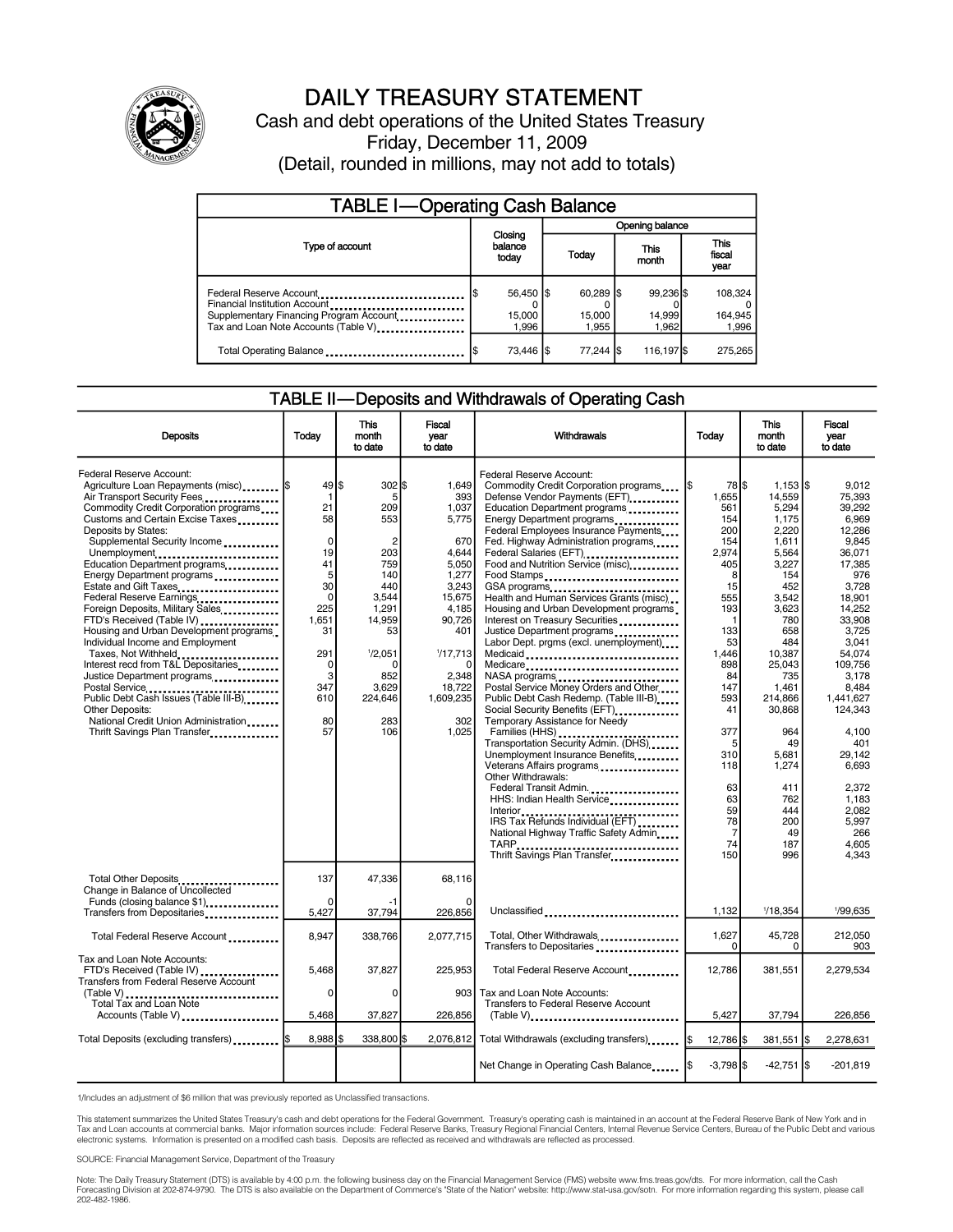

# DAILY TREASURY STATEMENT

Cash and debt operations of the United States Treasury Friday, December 11, 2009 (Detail, rounded in millions, may not add to totals)

| <b>TABLE I-Operating Cash Balance</b>                                                                                                                                       |                              |                               |                              |                               |  |  |  |
|-----------------------------------------------------------------------------------------------------------------------------------------------------------------------------|------------------------------|-------------------------------|------------------------------|-------------------------------|--|--|--|
|                                                                                                                                                                             | Opening balance              |                               |                              |                               |  |  |  |
| Type of account                                                                                                                                                             | Closing<br>balance<br>today  | Today                         | This<br>month                | <b>This</b><br>fiscal<br>year |  |  |  |
| Federal Reserve Account<br>Financial Institution Account<br>Supplementary Financing Program Account<br>Tax and Loan Note Accounts (Table V) <sub>-</sub> ------------------ | 56,450 \$<br>15,000<br>1.996 | $60.289$ S<br>15,000<br>1.955 | 99,236 \$<br>14,999<br>1.962 | 108,324<br>164,945<br>1,996   |  |  |  |
| Total Operating Balance                                                                                                                                                     | 73,446   \$                  | 77,244 \$                     | 116,197 \$                   | 275,265                       |  |  |  |

#### TABLE II—Deposits and Withdrawals of Operating Cash

| <b>Deposits</b>                                                                                                                                                                                                                                                                                                                                                                                                                                                                                                                                                                                                                                                                                                                                                  | Today                                                                                                                                        | <b>This</b><br>month<br>to date                                                                                                                                      | Fiscal<br>vear<br>to date                                                                                                                                                 | Withdrawals                                                                                                                                                                                                                                                                                                                                                                                                                                                                                                                                                                                                                                                                                                                                                                                                                                                                                                                                                                                                      | Today                                                                                                                                                                                                                                              | <b>This</b><br>month<br>to date                                                                                                                                                                                                                                         | <b>Fiscal</b><br>year<br>to date                                                                                                                                                                                                                                                                         |
|------------------------------------------------------------------------------------------------------------------------------------------------------------------------------------------------------------------------------------------------------------------------------------------------------------------------------------------------------------------------------------------------------------------------------------------------------------------------------------------------------------------------------------------------------------------------------------------------------------------------------------------------------------------------------------------------------------------------------------------------------------------|----------------------------------------------------------------------------------------------------------------------------------------------|----------------------------------------------------------------------------------------------------------------------------------------------------------------------|---------------------------------------------------------------------------------------------------------------------------------------------------------------------------|------------------------------------------------------------------------------------------------------------------------------------------------------------------------------------------------------------------------------------------------------------------------------------------------------------------------------------------------------------------------------------------------------------------------------------------------------------------------------------------------------------------------------------------------------------------------------------------------------------------------------------------------------------------------------------------------------------------------------------------------------------------------------------------------------------------------------------------------------------------------------------------------------------------------------------------------------------------------------------------------------------------|----------------------------------------------------------------------------------------------------------------------------------------------------------------------------------------------------------------------------------------------------|-------------------------------------------------------------------------------------------------------------------------------------------------------------------------------------------------------------------------------------------------------------------------|----------------------------------------------------------------------------------------------------------------------------------------------------------------------------------------------------------------------------------------------------------------------------------------------------------|
| Federal Reserve Account:<br>Agriculture Loan Repayments (misc)  \$<br>Air Transport Security Fees<br>Commodity Credit Corporation programs<br>Customs and Certain Excise Taxes<br>Deposits by States:<br>Supplemental Security Income<br>Unemployment<br>Education Department programs<br>Energy Department programs<br>Estate and Gift Taxes<br>Federal Reserve Earnings<br>Foreign Deposits, Military Sales<br>FTD's Received (Table IV)<br>Housing and Urban Development programs<br>Individual Income and Employment<br>Taxes, Not Withheld<br>Interest recd from T&L Depositaries<br>Justice Department programs<br>Public Debt Cash Issues (Table III-B)<br><b>Other Deposits:</b><br>National Credit Union Administration<br>Thrift Savings Plan Transfer | 49 \$<br>1<br>21<br>58<br>$\mathbf 0$<br>19<br>41<br>5<br>30<br>$\mathbf 0$<br>225<br>1,651<br>31<br>291<br>0<br>3<br>347<br>610<br>80<br>57 | $302$ \$<br>5<br>209<br>553<br>$\overline{c}$<br>203<br>759<br>140<br>440<br>3,544<br>1,291<br>14.959<br>53<br>1/2,051<br>n<br>852<br>3,629<br>224,646<br>283<br>106 | 1.649<br>393<br>1,037<br>5,775<br>670<br>4,644<br>5.050<br>1,277<br>3,243<br>15,675<br>4.185<br>90.726<br>401<br>1/17,713<br>2,348<br>18,722<br>1,609,235<br>302<br>1,025 | Federal Reserve Account:<br>Commodity Credit Corporation programs<br>Defense Vendor Payments (EFT)<br>Education Department programs<br>Energy Department programs<br>Federal Employees Insurance Payments<br>Fed. Highway Administration programs<br>Food and Nutrition Service (misc).<br>Food Stamps<br>GSA programs<br>Health and Human Services Grants (misc)<br>Housing and Urban Development programs<br>Interest on Treasury Securities<br>Justice Department programs<br>Labor Dept. prgms (excl. unemployment)<br>Medicaid<br>Medicare<br>Postal Service Money Orders and Other<br>Public Debt Cash Redemp. (Table III-B)<br>Social Security Benefits (EFT)<br>Temporary Assistance for Needy<br>Transportation Security Admin. (DHS)<br>Unemployment Insurance Benefits<br>Veterans Affairs programs<br>Other Withdrawals:<br>Federal Transit Admin<br>HHS: Indian Health Service<br>IRS Tax Refunds Individual (EFT)<br>National Highway Traffic Safety Admin<br>TARP<br>Thrift Savings Plan Transfer | 78 \$<br>1\$<br>1,655<br>561<br>154<br>200<br>154<br>2.974<br>405<br>8<br>15<br>555<br>193<br>$\mathbf{1}$<br>133<br>53<br>1,446<br>898<br>84<br>147<br>593<br>41<br>377<br>5<br>310<br>118<br>63<br>63<br>59<br>78<br>$\overline{7}$<br>74<br>150 | $1,153$ \$<br>14,559<br>5,294<br>1,175<br>2,220<br>1,611<br>5,564<br>3,227<br>154<br>452<br>3,542<br>3,623<br>780<br>658<br>484<br>10,387<br>25,043<br>735<br>1,461<br>214,866<br>30,868<br>964<br>49<br>5,681<br>1,274<br>411<br>762<br>444<br>200<br>49<br>187<br>996 | 9.012<br>75.393<br>39.292<br>6.969<br>12,286<br>9.845<br>36,071<br>17.385<br>976<br>3,728<br>18,901<br>14.252<br>33.908<br>3,725<br>3.041<br>54.074<br>109.756<br>3,178<br>8,484<br>1.441.627<br>124,343<br>4,100<br>401<br>29.142<br>6.693<br>2,372<br>1,183<br>2.082<br>5.997<br>266<br>4,605<br>4.343 |
| Total Other Deposits<br>Change in Balance of Uncollected<br>Funds (closing balance \$1)                                                                                                                                                                                                                                                                                                                                                                                                                                                                                                                                                                                                                                                                          | 137<br>$\Omega$                                                                                                                              | 47,336<br>-1                                                                                                                                                         | 68.116<br>$\Omega$                                                                                                                                                        |                                                                                                                                                                                                                                                                                                                                                                                                                                                                                                                                                                                                                                                                                                                                                                                                                                                                                                                                                                                                                  |                                                                                                                                                                                                                                                    |                                                                                                                                                                                                                                                                         |                                                                                                                                                                                                                                                                                                          |
| Transfers from Depositaries                                                                                                                                                                                                                                                                                                                                                                                                                                                                                                                                                                                                                                                                                                                                      | 5,427                                                                                                                                        | 37,794                                                                                                                                                               | 226,856                                                                                                                                                                   | Unclassified                                                                                                                                                                                                                                                                                                                                                                                                                                                                                                                                                                                                                                                                                                                                                                                                                                                                                                                                                                                                     | 1,132                                                                                                                                                                                                                                              | 1/18,354                                                                                                                                                                                                                                                                | 1/99,635                                                                                                                                                                                                                                                                                                 |
| Total Federal Reserve Account                                                                                                                                                                                                                                                                                                                                                                                                                                                                                                                                                                                                                                                                                                                                    | 8,947                                                                                                                                        | 338.766                                                                                                                                                              | 2,077,715                                                                                                                                                                 | Total, Other Withdrawals<br>Transfers to Depositaries                                                                                                                                                                                                                                                                                                                                                                                                                                                                                                                                                                                                                                                                                                                                                                                                                                                                                                                                                            | 1.627<br>0                                                                                                                                                                                                                                         | 45,728<br>0                                                                                                                                                                                                                                                             | 212.050<br>903                                                                                                                                                                                                                                                                                           |
| Tax and Loan Note Accounts:<br>FTD's Received (Table IV)<br><b>Transfers from Federal Reserve Account</b>                                                                                                                                                                                                                                                                                                                                                                                                                                                                                                                                                                                                                                                        | 5.468                                                                                                                                        | 37,827                                                                                                                                                               | 225.953                                                                                                                                                                   | Total Federal Reserve Account                                                                                                                                                                                                                                                                                                                                                                                                                                                                                                                                                                                                                                                                                                                                                                                                                                                                                                                                                                                    | 12.786                                                                                                                                                                                                                                             | 381,551                                                                                                                                                                                                                                                                 | 2,279,534                                                                                                                                                                                                                                                                                                |
| (Table V)<br><br>Total Tax and Loan Note<br>Accounts (Table V)                                                                                                                                                                                                                                                                                                                                                                                                                                                                                                                                                                                                                                                                                                   | 0<br>5,468                                                                                                                                   | $\Omega$<br>37,827                                                                                                                                                   | 903<br>226,856                                                                                                                                                            | Tax and Loan Note Accounts:<br>Transfers to Federal Reserve Account                                                                                                                                                                                                                                                                                                                                                                                                                                                                                                                                                                                                                                                                                                                                                                                                                                                                                                                                              | 5,427                                                                                                                                                                                                                                              | 37,794                                                                                                                                                                                                                                                                  | 226,856                                                                                                                                                                                                                                                                                                  |
|                                                                                                                                                                                                                                                                                                                                                                                                                                                                                                                                                                                                                                                                                                                                                                  |                                                                                                                                              |                                                                                                                                                                      |                                                                                                                                                                           | $(Table V)$                                                                                                                                                                                                                                                                                                                                                                                                                                                                                                                                                                                                                                                                                                                                                                                                                                                                                                                                                                                                      |                                                                                                                                                                                                                                                    |                                                                                                                                                                                                                                                                         |                                                                                                                                                                                                                                                                                                          |
| Total Deposits (excluding transfers)   \$                                                                                                                                                                                                                                                                                                                                                                                                                                                                                                                                                                                                                                                                                                                        | $8,988$ \$                                                                                                                                   | 338,800 \$                                                                                                                                                           | 2,076,812                                                                                                                                                                 | Total Withdrawals (excluding transfers) [\$                                                                                                                                                                                                                                                                                                                                                                                                                                                                                                                                                                                                                                                                                                                                                                                                                                                                                                                                                                      | 12,786 \$                                                                                                                                                                                                                                          | 381,551   \$                                                                                                                                                                                                                                                            | 2,278,631                                                                                                                                                                                                                                                                                                |
|                                                                                                                                                                                                                                                                                                                                                                                                                                                                                                                                                                                                                                                                                                                                                                  |                                                                                                                                              |                                                                                                                                                                      |                                                                                                                                                                           | Net Change in Operating Cash Balance                                                                                                                                                                                                                                                                                                                                                                                                                                                                                                                                                                                                                                                                                                                                                                                                                                                                                                                                                                             | $-3,798$ \$                                                                                                                                                                                                                                        | $-42,751$ $\sqrt{5}$                                                                                                                                                                                                                                                    | $-201.819$                                                                                                                                                                                                                                                                                               |

1/Includes an adjustment of \$6 million that was previously reported as Unclassified transactions.

This statement summarizes the United States Treasury's cash and debt operations for the Federal Government. Treasury's operating cash is maintained in an account at the Federal Reserve Bank of New York and in<br>Tax and Loan

SOURCE: Financial Management Service, Department of the Treasury

Note: The Daily Treasury Statement (DTS) is available by 4:00 p.m. the following business day on the Financial Management Service (FMS) website www.fms.treas.gov/dts. For more information, call the Cash Forecasting Division at 202-874-9790. The DTS is also available on the Department of Commerce's "State of the Nation" website: http://www.stat-usa.gov/sotn. For more information regarding this system, please call<br>202-482-1